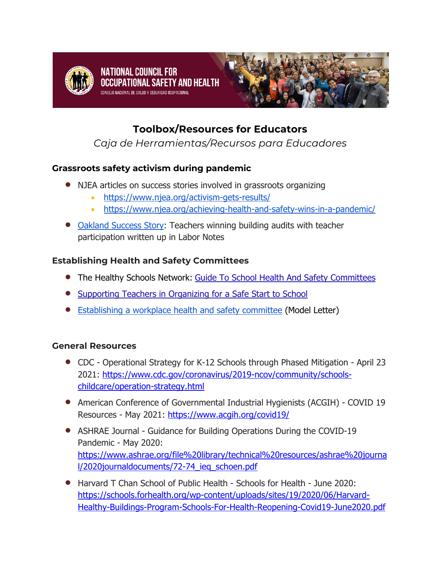

# **Toolbox/Resources for Educators**

*Caja de Herramientas/Recursos para Educadores*

## **Grassroots safety activism during pandemic**

- NJEA articles on success stories involved in grassroots organizing
	- https://www.njea.org/activism-gets-results/
	- https://www.njea.org/achieving-health-and-safety-wins-in-a-pandemic/
- Oakland Success Story: Teachers winning building audits with teacher participation written up in Labor Notes

## **Establishing Health and Safety Committees**

- The Healthy Schools Network: Guide To School Health And Safety Committees
- Supporting Teachers in Organizing for a Safe Start to School
- Establishing a workplace health and safety committee (Model Letter)

#### **General Resources**

- CDC Operational Strategy for K-12 Schools through Phased Mitigation April 23 2021: https://www.cdc.gov/coronavirus/2019-ncov/community/schoolschildcare/operation-strategy.html
- American Conference of Governmental Industrial Hygienists (ACGIH) COVID 19 Resources - May 2021: https://www.acgih.org/covid19/
- ASHRAE Journal Guidance for Building Operations During the COVID-19 Pandemic - May 2020: https://www.ashrae.org/file%20library/technical%20resources/ashrae%20journa l/2020journaldocuments/72-74\_ieq\_schoen.pdf
- Harvard T Chan School of Public Health Schools for Health June 2020: https://schools.forhealth.org/wp-content/uploads/sites/19/2020/06/Harvard-Healthy-Buildings-Program-Schools-For-Health-Reopening-Covid19-June2020.pdf